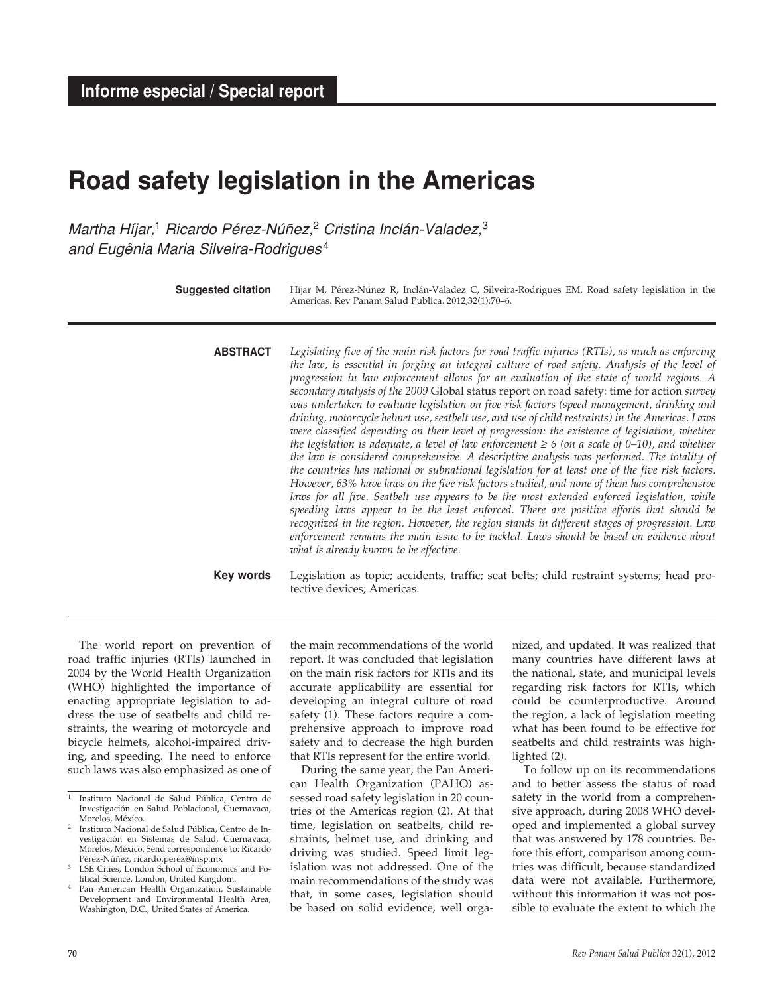# **Road safety legislation in the Americas**

*Martha Híjar,*1 *Ricardo Pérez-Núñez,*2 *Cristina Inclán-Valadez,*<sup>3</sup> *and Eugênia Maria Silveira-Rodrigues* <sup>4</sup>

| <b>Suggested citation</b> | Híjar M, Pérez-Núñez R, Inclán-Valadez C, Silveira-Rodrigues EM. Road safety legislation in the<br>Americas. Rev Panam Salud Publica. 2012;32(1):70-6.                                                                                                                                                                                                                                                                                                                                                                                                                                                                                                                                                                                                                                                                                                                                                                                                                                                                                                                                                                                                                                                                                                                                                                                                                                                                                                                                                                                   |
|---------------------------|------------------------------------------------------------------------------------------------------------------------------------------------------------------------------------------------------------------------------------------------------------------------------------------------------------------------------------------------------------------------------------------------------------------------------------------------------------------------------------------------------------------------------------------------------------------------------------------------------------------------------------------------------------------------------------------------------------------------------------------------------------------------------------------------------------------------------------------------------------------------------------------------------------------------------------------------------------------------------------------------------------------------------------------------------------------------------------------------------------------------------------------------------------------------------------------------------------------------------------------------------------------------------------------------------------------------------------------------------------------------------------------------------------------------------------------------------------------------------------------------------------------------------------------|
| <b>ABSTRACT</b>           | Legislating five of the main risk factors for road traffic injuries (RTIs), as much as enforcing<br>the law, is essential in forging an integral culture of road safety. Analysis of the level of<br>progression in law enforcement allows for an evaluation of the state of world regions. A<br>secondary analysis of the 2009 Global status report on road safety: time for action survey<br>was undertaken to evaluate legislation on five risk factors (speed management, drinking and<br>driving, motorcycle helmet use, seatbelt use, and use of child restraints) in the Americas. Laws<br>were classified depending on their level of progression: the existence of legislation, whether<br>the legislation is adequate, a level of law enforcement $\geq 6$ (on a scale of 0–10), and whether<br>the law is considered comprehensive. A descriptive analysis was performed. The totality of<br>the countries has national or subnational legislation for at least one of the five risk factors.<br>However, 63% have laws on the five risk factors studied, and none of them has comprehensive<br>laws for all five. Seatbelt use appears to be the most extended enforced legislation, while<br>speeding laws appear to be the least enforced. There are positive efforts that should be<br>recognized in the region. However, the region stands in different stages of progression. Law<br>enforcement remains the main issue to be tackled. Laws should be based on evidence about<br>what is already known to be effective. |
| Key words                 | Legislation as topic; accidents, traffic; seat belts; child restraint systems; head pro-<br>tective devices; Americas.                                                                                                                                                                                                                                                                                                                                                                                                                                                                                                                                                                                                                                                                                                                                                                                                                                                                                                                                                                                                                                                                                                                                                                                                                                                                                                                                                                                                                   |

The world report on prevention of road traffic injuries (RTIs) launched in 2004 by the World Health Organization (WHO) highlighted the importance of enacting appropriate legislation to address the use of seatbelts and child restraints, the wearing of motorcycle and bicycle helmets, alcohol-impaired driving, and speeding. The need to enforce such laws was also emphasized as one of

the main recommendations of the world report. It was concluded that legislation on the main risk factors for RTIs and its accurate applicability are essential for developing an integral culture of road safety (1). These factors require a comprehensive approach to improve road safety and to decrease the high burden that RTIs represent for the entire world.

During the same year, the Pan American Health Organization (PAHO) assessed road safety legislation in 20 countries of the Americas region (2). At that time, legislation on seatbelts, child restraints, helmet use, and drinking and driving was studied. Speed limit legislation was not addressed. One of the main recommendations of the study was that, in some cases, legislation should be based on solid evidence, well organized, and updated. It was realized that many countries have different laws at the national, state, and municipal levels regarding risk factors for RTIs, which could be counterproductive. Around the region, a lack of legislation meeting what has been found to be effective for seatbelts and child restraints was highlighted (2).

To follow up on its recommendations and to better assess the status of road safety in the world from a comprehensive approach, during 2008 WHO developed and implemented a global survey that was answered by 178 countries. Before this effort, comparison among countries was difficult, because standardized data were not available. Furthermore, without this information it was not possible to evaluate the extent to which the

<sup>1</sup> Instituto Nacional de Salud Pública, Centro de Investigación en Salud Poblacional, Cuernavaca, Morelos, México.

<sup>2</sup> Instituto Nacional de Salud Pública, Centro de Investigación en Sistemas de Salud, Cuernavaca, Morelos, México. Send correspondence to: Ricardo Pérez-Núñez, ricardo.perez@insp.mx

LSE Cities, London School of Economics and Political Science, London, United Kingdom.

Pan American Health Organization, Sustainable Development and Environmental Health Area, Washington, D.C., United States of America.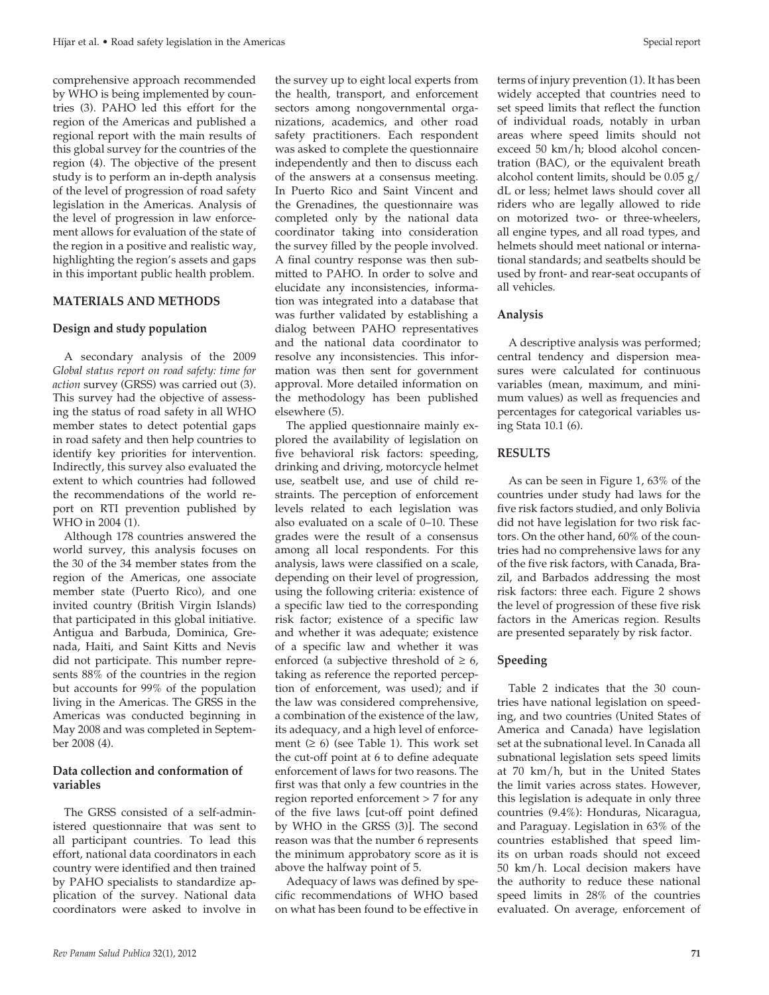comprehensive approach recommended by WHO is being implemented by countries (3). PAHO led this effort for the region of the Americas and published a regional report with the main results of this global survey for the countries of the region (4). The objective of the present study is to perform an in-depth analysis of the level of progression of road safety legislation in the Americas. Analysis of the level of progression in law enforcement allows for evaluation of the state of the region in a positive and realistic way, highlighting the region's assets and gaps in this important public health problem.

#### **MATERIALS AND METHODS**

#### **Design and study population**

A secondary analysis of the 2009 *Global status report on road safety: time for action* survey (GRSS) was carried out (3). This survey had the objective of assessing the status of road safety in all WHO member states to detect potential gaps in road safety and then help countries to identify key priorities for intervention. Indirectly, this survey also evaluated the extent to which countries had followed the recommendations of the world report on RTI prevention published by WHO in 2004 (1).

Although 178 countries answered the world survey, this analysis focuses on the 30 of the 34 member states from the region of the Americas, one associate member state (Puerto Rico), and one invited country (British Virgin Islands) that participated in this global initiative. Antigua and Barbuda, Dominica, Grenada, Haiti, and Saint Kitts and Nevis did not participate. This number represents 88% of the countries in the region but accounts for 99% of the population living in the Americas. The GRSS in the Americas was conducted beginning in May 2008 and was completed in September 2008 (4).

#### **Data collection and conformation of variables**

The GRSS consisted of a self-administered questionnaire that was sent to all participant countries. To lead this effort, national data coordinators in each country were identified and then trained by PAHO specialists to standardize application of the survey. National data coordinators were asked to involve in

the survey up to eight local experts from the health, transport, and enforcement sectors among nongovernmental organizations, academics, and other road safety practitioners. Each respondent was asked to complete the questionnaire independently and then to discuss each of the answers at a consensus meeting. In Puerto Rico and Saint Vincent and the Grenadines, the questionnaire was completed only by the national data coordinator taking into consideration the survey filled by the people involved. A final country response was then submitted to PAHO. In order to solve and elucidate any inconsistencies, information was integrated into a database that was further validated by establishing a dialog between PAHO representatives and the national data coordinator to resolve any inconsistencies. This information was then sent for government approval. More detailed information on the methodology has been published elsewhere (5).

The applied questionnaire mainly explored the availability of legislation on five behavioral risk factors: speeding, drinking and driving, motorcycle helmet use, seatbelt use, and use of child restraints. The perception of enforcement levels related to each legislation was also evaluated on a scale of 0–10. These grades were the result of a consensus among all local respondents. For this analysis, laws were classified on a scale, depending on their level of progression, using the following criteria: existence of a specific law tied to the corresponding risk factor; existence of a specific law and whether it was adequate; existence of a specific law and whether it was enforced (a subjective threshold of  $\geq 6$ , taking as reference the reported perception of enforcement, was used); and if the law was considered comprehensive, a combination of the existence of the law, its adequacy, and a high level of enforcement  $(≥ 6)$  (see Table 1). This work set the cut-off point at 6 to define adequate enforcement of laws for two reasons. The first was that only a few countries in the region reported enforcement > 7 for any of the five laws [cut-off point defined by WHO in the GRSS (3)]. The second reason was that the number 6 represents the minimum approbatory score as it is above the halfway point of 5.

Adequacy of laws was defined by specific recommendations of WHO based on what has been found to be effective in

terms of injury prevention (1). It has been widely accepted that countries need to set speed limits that reflect the function of individual roads, notably in urban areas where speed limits should not exceed 50 km/h; blood alcohol concentration (BAC), or the equivalent breath alcohol content limits, should be 0.05 g/ dL or less; helmet laws should cover all riders who are legally allowed to ride on motorized two- or three-wheelers, all engine types, and all road types, and helmets should meet national or international standards; and seatbelts should be used by front- and rear-seat occupants of all vehicles.

#### **Analysis**

A descriptive analysis was performed; central tendency and dispersion measures were calculated for continuous variables (mean, maximum, and minimum values) as well as frequencies and percentages for categorical variables using Stata 10.1 (6).

#### **RESULTS**

As can be seen in Figure 1, 63% of the countries under study had laws for the five risk factors studied, and only Bolivia did not have legislation for two risk factors. On the other hand, 60% of the countries had no comprehensive laws for any of the five risk factors, with Canada, Brazil, and Barbados addressing the most risk factors: three each. Figure 2 shows the level of progression of these five risk factors in the Americas region. Results are presented separately by risk factor.

## **Speeding**

Table 2 indicates that the 30 countries have national legislation on speeding, and two countries (United States of America and Canada) have legislation set at the subnational level. In Canada all subnational legislation sets speed limits at 70 km/h, but in the United States the limit varies across states. However, this legislation is adequate in only three countries (9.4%): Honduras, Nicaragua, and Paraguay. Legislation in 63% of the countries established that speed limits on urban roads should not exceed 50 km/h. Local decision makers have the authority to reduce these national speed limits in 28% of the countries evaluated. On average, enforcement of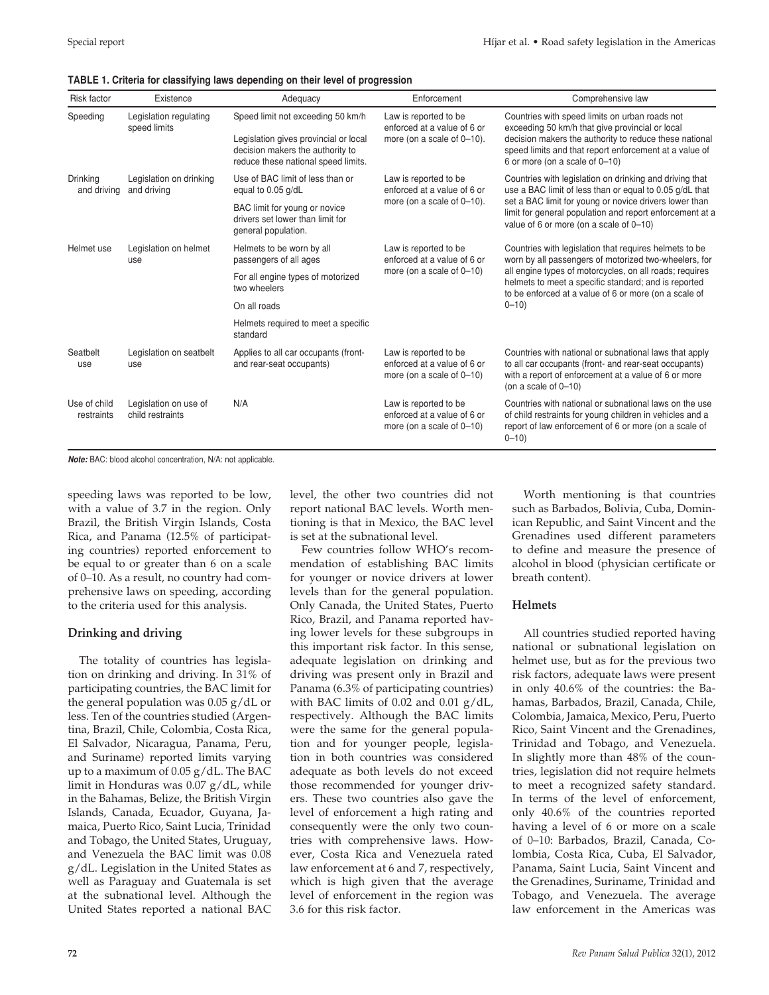|  |  |  | TABLE 1. Criteria for classifying laws depending on their level of progression |
|--|--|--|--------------------------------------------------------------------------------|
|--|--|--|--------------------------------------------------------------------------------|

| <b>Risk factor</b><br>Existence        |                                                                                                                                                                                                 | Adequacy                                                                                 | Enforcement                                                                        | Comprehensive law<br>Countries with speed limits on urban roads not<br>exceeding 50 km/h that give provincial or local<br>decision makers the authority to reduce these national<br>speed limits and that report enforcement at a value of<br>6 or more (on a scale of 0-10) |  |  |  |  |  |
|----------------------------------------|-------------------------------------------------------------------------------------------------------------------------------------------------------------------------------------------------|------------------------------------------------------------------------------------------|------------------------------------------------------------------------------------|------------------------------------------------------------------------------------------------------------------------------------------------------------------------------------------------------------------------------------------------------------------------------|--|--|--|--|--|
| Speeding                               | Speed limit not exceeding 50 km/h<br>Legislation regulating<br>speed limits<br>Legislation gives provincial or local<br>decision makers the authority to<br>reduce these national speed limits. |                                                                                          | Law is reported to be<br>enforced at a value of 6 or<br>more (on a scale of 0-10). |                                                                                                                                                                                                                                                                              |  |  |  |  |  |
| Drinking<br>and driving<br>and driving | Legislation on drinking                                                                                                                                                                         | Use of BAC limit of less than or<br>equal to 0.05 g/dL                                   | Law is reported to be<br>enforced at a value of 6 or                               | Countries with legislation on drinking and driving that<br>use a BAC limit of less than or equal to 0.05 g/dL that                                                                                                                                                           |  |  |  |  |  |
|                                        |                                                                                                                                                                                                 | BAC limit for young or novice<br>drivers set lower than limit for<br>general population. | more (on a scale of 0-10).                                                         | set a BAC limit for young or novice drivers lower than<br>limit for general population and report enforcement at a<br>value of 6 or more (on a scale of 0-10)                                                                                                                |  |  |  |  |  |
| Helmet use                             | Legislation on helmet<br>use                                                                                                                                                                    | Helmets to be worn by all<br>passengers of all ages                                      | Law is reported to be<br>enforced at a value of 6 or                               | Countries with legislation that requires helmets to be<br>worn by all passengers of motorized two-wheelers, for                                                                                                                                                              |  |  |  |  |  |
|                                        |                                                                                                                                                                                                 | For all engine types of motorized<br>two wheelers                                        | more (on a scale of 0-10)                                                          | all engine types of motorcycles, on all roads; requires<br>helmets to meet a specific standard; and is reported<br>to be enforced at a value of 6 or more (on a scale of                                                                                                     |  |  |  |  |  |
|                                        |                                                                                                                                                                                                 | On all roads                                                                             |                                                                                    | $0 - 10$                                                                                                                                                                                                                                                                     |  |  |  |  |  |
|                                        |                                                                                                                                                                                                 | Helmets required to meet a specific<br>standard                                          |                                                                                    |                                                                                                                                                                                                                                                                              |  |  |  |  |  |
| Seatbelt<br>use                        | Legislation on seatbelt<br>use                                                                                                                                                                  | Applies to all car occupants (front-<br>and rear-seat occupants)                         | Law is reported to be<br>enforced at a value of 6 or<br>more (on a scale of 0-10)  | Countries with national or subnational laws that apply<br>to all car occupants (front- and rear-seat occupants)<br>with a report of enforcement at a value of 6 or more<br>(on a scale of $0-10$ )                                                                           |  |  |  |  |  |
| Use of child<br>restraints             | Legislation on use of<br>child restraints                                                                                                                                                       | N/A                                                                                      | Law is reported to be<br>enforced at a value of 6 or<br>more (on a scale of 0-10)  | Countries with national or subnational laws on the use<br>of child restraints for young children in vehicles and a<br>report of law enforcement of 6 or more (on a scale of<br>$0 - 10$                                                                                      |  |  |  |  |  |

*Note:* BAC: blood alcohol concentration, N/A: not applicable.

speeding laws was reported to be low, with a value of 3.7 in the region. Only Brazil, the British Virgin Islands, Costa Rica, and Panama (12.5% of participating countries) reported enforcement to be equal to or greater than 6 on a scale of 0–10. As a result, no country had comprehensive laws on speeding, according to the criteria used for this analysis.

### **Drinking and driving**

The totality of countries has legislation on drinking and driving. In 31% of participating countries, the BAC limit for the general population was 0.05 g/dL or less. Ten of the countries studied (Argentina, Brazil, Chile, Colombia, Costa Rica, El Salvador, Nicaragua, Panama, Peru, and Suriname) reported limits varying up to a maximum of 0.05 g/dL. The BAC limit in Honduras was 0.07 g/dL, while in the Bahamas, Belize, the British Virgin Islands, Canada, Ecuador, Guyana, Jamaica, Puerto Rico, Saint Lucia, Trinidad and Tobago, the United States, Uruguay, and Venezuela the BAC limit was 0.08 g/dL. Legislation in the United States as well as Paraguay and Guatemala is set at the subnational level. Although the United States reported a national BAC

level, the other two countries did not report national BAC levels. Worth mentioning is that in Mexico, the BAC level is set at the subnational level.

Few countries follow WHO's recommendation of establishing BAC limits for younger or novice drivers at lower levels than for the general population. Only Canada, the United States, Puerto Rico, Brazil, and Panama reported having lower levels for these subgroups in this important risk factor. In this sense, adequate legislation on drinking and driving was present only in Brazil and Panama (6.3% of participating countries) with BAC limits of 0.02 and 0.01 g/dL, respectively. Although the BAC limits were the same for the general population and for younger people, legislation in both countries was considered adequate as both levels do not exceed those recommended for younger drivers. These two countries also gave the level of enforcement a high rating and consequently were the only two countries with comprehensive laws. However, Costa Rica and Venezuela rated law enforcement at 6 and 7, respectively, which is high given that the average level of enforcement in the region was 3.6 for this risk factor.

Worth mentioning is that countries such as Barbados, Bolivia, Cuba, Dominican Republic, and Saint Vincent and the Grenadines used different parameters to define and measure the presence of alcohol in blood (physician certificate or breath content).

### **Helmets**

All countries studied reported having national or subnational legislation on helmet use, but as for the previous two risk factors, adequate laws were present in only 40.6% of the countries: the Bahamas, Barbados, Brazil, Canada, Chile, Colombia, Jamaica, Mexico, Peru, Puerto Rico, Saint Vincent and the Grenadines, Trinidad and Tobago, and Venezuela. In slightly more than 48% of the countries, legislation did not require helmets to meet a recognized safety standard. In terms of the level of enforcement, only 40.6% of the countries reported having a level of 6 or more on a scale of 0–10: Barbados, Brazil, Canada, Colombia, Costa Rica, Cuba, El Salvador, Panama, Saint Lucia, Saint Vincent and the Grenadines, Suriname, Trinidad and Tobago, and Venezuela. The average law enforcement in the Americas was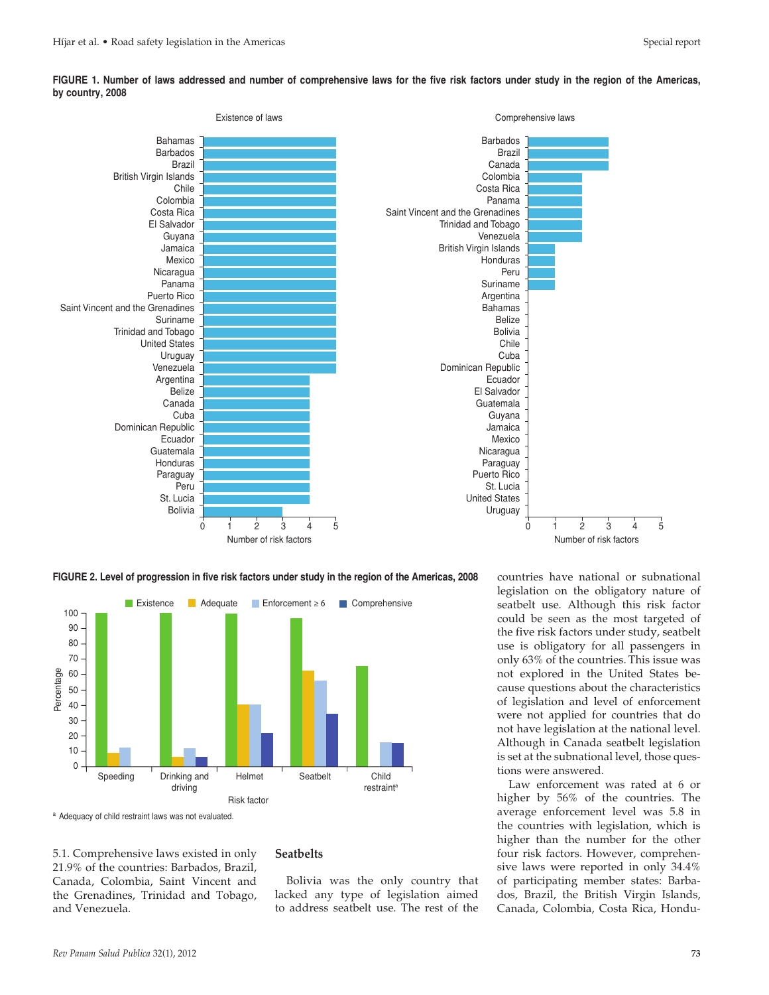

**FIGURE 1. Number of laws addressed and number of comprehensive laws for the five risk factors under study in the region of the Americas, by country, 2008**





<sup>a</sup> Adequacy of child restraint laws was not evaluated.

5.1. Comprehensive laws existed in only 21.9% of the countries: Barbados, Brazil, Canada, Colombia, Saint Vincent and the Grenadines, Trinidad and Tobago, and Venezuela.

#### **Seatbelts**

Bolivia was the only country that lacked any type of legislation aimed to address seatbelt use. The rest of the

countries have national or subnational legislation on the obligatory nature of seatbelt use. Although this risk factor could be seen as the most targeted of the five risk factors under study, seatbelt use is obligatory for all passengers in only 63% of the countries. This issue was not explored in the United States because questions about the characteristics of legislation and level of enforcement were not applied for countries that do not have legislation at the national level. Although in Canada seatbelt legislation is set at the subnational level, those questions were answered.

Law enforcement was rated at 6 or higher by 56% of the countries. The average enforcement level was 5.8 in the countries with legislation, which is higher than the number for the other four risk factors. However, comprehensive laws were reported in only 34.4% of participating member states: Barbados, Brazil, the British Virgin Islands, Canada, Colombia, Costa Rica, Hondu-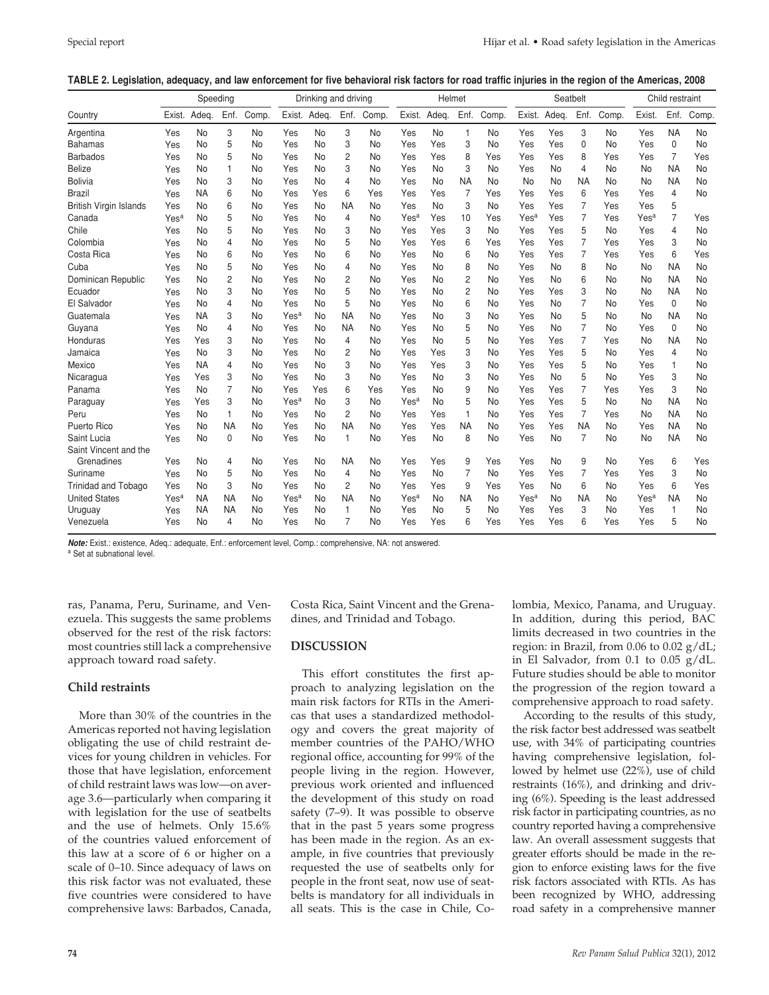#### **TABLE 2. Legislation, adequacy, and law enforcement for five behavioral risk factors for road traffic injuries in the region of the Americas, 2008**

|                            | Speeding         |           |                |           | Drinking and driving |              |                | Helmet    |                  |           | Seatbelt       |       |                  |              | Child restraint |       |                  |                |       |
|----------------------------|------------------|-----------|----------------|-----------|----------------------|--------------|----------------|-----------|------------------|-----------|----------------|-------|------------------|--------------|-----------------|-------|------------------|----------------|-------|
| Country                    | Exist.           | Adeg.     | Enf.           | Comp.     |                      | Exist. Adeq. | Enf.           | Comp.     | Exist.           | Adeg.     | Enf.           | Comp. |                  | Exist. Adeq. | Enf.            | Comp. | Exist.           | Enf.           | Comp. |
| Argentina                  | Yes              | No        | 3              | No        | Yes                  | No           | 3              | No        | Yes              | No        | 1              | No    | Yes              | Yes          | 3               | No    | Yes              | <b>NA</b>      | No    |
| <b>Bahamas</b>             | Yes              | No        | 5              | No        | Yes                  | No           | 3              | No        | Yes              | Yes       | 3              | No    | Yes              | Yes          | 0               | No    | Yes              | 0              | No    |
| <b>Barbados</b>            | Yes              | No        | 5              | No        | Yes                  | No           | 2              | No        | Yes              | Yes       | 8              | Yes   | Yes              | Yes          | 8               | Yes   | Yes              | $\overline{7}$ | Yes   |
| <b>Belize</b>              | Yes              | No        | $\mathbf{1}$   | No        | Yes                  | No           | 3              | No        | Yes              | No        | 3              | No    | Yes              | No           | 4               | No    | No               | <b>NA</b>      | No    |
| <b>Bolivia</b>             | Yes              | No        | 3              | No        | Yes                  | No           | 4              | No        | Yes              | <b>No</b> | <b>NA</b>      | No    | No               | No           | <b>NA</b>       | No    | No               | <b>NA</b>      | No    |
| <b>Brazil</b>              | Yes              | <b>NA</b> | 6              | No        | Yes                  | Yes          | 6              | Yes       | Yes              | Yes       | $\overline{7}$ | Yes   | Yes              | Yes          | 6               | Yes   | Yes              | 4              | No    |
| British Virgin Islands     | Yes              | No        | 6              | No        | Yes                  | No           | <b>NA</b>      | No        | Yes              | <b>No</b> | 3              | No    | Yes              | Yes          | 7               | Yes   | Yes              | 5              |       |
| Canada                     | Yes <sup>a</sup> | <b>No</b> | 5              | No        | Yes                  | No           | 4              | No        | Yes <sup>a</sup> | Yes       | 10             | Yes   | Yes <sup>a</sup> | Yes          | 7               | Yes   | Yes <sup>a</sup> | $\overline{7}$ | Yes   |
| Chile                      | Yes              | No        | 5              | No        | Yes                  | No           | 3              | <b>No</b> | Yes              | Yes       | 3              | No    | Yes              | Yes          | 5               | No    | Yes              | 4              | No    |
| Colombia                   | Yes              | No        | 4              | No        | Yes                  | No           | 5              | <b>No</b> | Yes              | Yes       | 6              | Yes   | Yes              | Yes          | 7               | Yes   | Yes              | 3              | No    |
| Costa Rica                 | Yes              | No        | 6              | No        | Yes                  | No           | 6              | <b>No</b> | Yes              | No        | 6              | No    | Yes              | Yes          | 7               | Yes   | Yes              | 6              | Yes   |
| Cuba                       | Yes              | <b>No</b> | 5              | No        | Yes                  | No           | 4              | <b>No</b> | Yes              | No        | 8              | No    | Yes              | No           | 8               | No    | No               | <b>NA</b>      | No    |
| Dominican Republic         | Yes              | <b>No</b> | $\overline{2}$ | No        | Yes                  | No           | 2              | No        | Yes              | No        | $\overline{c}$ | No    | Yes              | No           | 6               | No    | No               | <b>NA</b>      | No    |
| Ecuador                    | Yes              | No        | 3              | No        | Yes                  | No           | 5              | No        | Yes              | No        | $\overline{2}$ | No    | Yes              | Yes          | 3               | No    | No               | <b>NA</b>      | No    |
| El Salvador                | Yes              | No        | 4              | No        | Yes                  | No           | 5              | No        | Yes              | No        | 6              | No    | Yes              | No           | 7               | No    | Yes              | 0              | No    |
| Guatemala                  | Yes              | <b>NA</b> | 3              | <b>No</b> | Yes <sup>a</sup>     | No           | <b>NA</b>      | No        | Yes              | No        | 3              | No    | Yes              | No           | 5               | No    | No               | <b>NA</b>      | No    |
| Guyana                     | Yes              | No        | 4              | No        | Yes                  | No           | <b>NA</b>      | <b>No</b> | Yes              | No        | 5              | No    | Yes              | <b>No</b>    | 7               | No    | Yes              | 0              | No    |
| Honduras                   | Yes              | Yes       | 3              | No        | Yes                  | No           | 4              | <b>No</b> | Yes              | No        | 5              | No    | Yes              | Yes          | 7               | Yes   | No               | <b>NA</b>      | No    |
| Jamaica                    | Yes              | No        | 3              | No        | Yes                  | No           | 2              | No        | Yes              | Yes       | 3              | No    | Yes              | Yes          | 5               | No    | Yes              | 4              | No    |
| Mexico                     | Yes              | <b>NA</b> | 4              | No        | Yes                  | No           | 3              | No        | Yes              | Yes       | 3              | No    | Yes              | Yes          | 5               | No    | Yes              | 1              | No    |
| Nicaragua                  | Yes              | Yes       | 3              | No        | Yes                  | No           | 3              | No        | Yes              | No        | 3              | No    | Yes              | No           | 5               | No    | Yes              | 3              | No    |
| Panama                     | Yes              | <b>No</b> | $\overline{7}$ | No        | Yes                  | Yes          | 6              | Yes       | Yes              | No        | 9              | No    | Yes              | Yes          | 7               | Yes   | Yes              | 3              | No    |
| Paraguay                   | Yes              | Yes       | 3              | No        | Yes <sup>a</sup>     | No           | 3              | <b>No</b> | Yes <sup>a</sup> | No        | 5              | No    | Yes              | Yes          | 5               | No    | No               | <b>NA</b>      | No    |
| Peru                       | Yes              | No        | $\mathbf{1}$   | No        | Yes                  | No           | 2              | <b>No</b> | Yes              | Yes       | $\mathbf{1}$   | No    | Yes              | Yes          | $\overline{7}$  | Yes   | <b>No</b>        | <b>NA</b>      | No    |
| Puerto Rico                | Yes              | No        | <b>NA</b>      | No        | Yes                  | No           | <b>NA</b>      | <b>No</b> | Yes              | Yes       | <b>NA</b>      | No    | Yes              | Yes          | <b>NA</b>       | No    | Yes              | <b>NA</b>      | No    |
| Saint Lucia                | Yes              | No        | $\Omega$       | No        | Yes                  | No           | $\mathbf{1}$   | No        | Yes              | No        | 8              | No    | Yes              | No           | 7               | No    | No               | <b>NA</b>      | No    |
| Saint Vincent and the      |                  |           |                |           |                      |              |                |           |                  |           |                |       |                  |              |                 |       |                  |                |       |
| Grenadines                 | Yes              | No        | 4              | No        | Yes                  | No           | <b>NA</b>      | <b>No</b> | Yes              | Yes       | 9              | Yes   | Yes              | No           | 9               | No    | Yes              | 6              | Yes   |
| Suriname                   | Yes              | No        | 5              | No        | Yes                  | No           | 4              | No        | Yes              | <b>No</b> | $\overline{7}$ | No    | Yes              | Yes          | $\overline{7}$  | Yes   | Yes              | 3              | No    |
| <b>Trinidad and Tobago</b> | Yes              | No        | 3              | No        | Yes                  | No           | 2              | No        | Yes              | Yes       | 9              | Yes   | Yes              | No           | 6               | No    | Yes              | 6              | Yes   |
| <b>United States</b>       | Yes <sup>a</sup> | <b>NA</b> | <b>NA</b>      | No        | Yes <sup>a</sup>     | No           | <b>NA</b>      | No        | Yes <sup>a</sup> | No        | <b>NA</b>      | No    | Yes <sup>a</sup> | No           | <b>NA</b>       | No    | Yes <sup>a</sup> | <b>NA</b>      | No    |
| Uruguay                    | Yes              | <b>NA</b> | <b>NA</b>      | No        | Yes                  | No           | $\mathbf{1}$   | No        | Yes              | No        | 5              | No    | Yes              | Yes          | 3               | No    | Yes              | 1              | No    |
| Venezuela                  | Yes              | No        | 4              | No        | Yes                  | No           | $\overline{7}$ | <b>No</b> | Yes              | Yes       | 6              | Yes   | Yes              | Yes          | 6               | Yes   | Yes              | 5              | No    |

*Note:* Exist.: existence, Adeq.: adequate, Enf.: enforcement level, Comp.: comprehensive, NA: not answered.

a Set at subnational level.

ras, Panama, Peru, Suriname, and Venezuela. This suggests the same problems observed for the rest of the risk factors: most countries still lack a comprehensive approach toward road safety.

### **Child restraints**

More than 30% of the countries in the Americas reported not having legislation obligating the use of child restraint devices for young children in vehicles. For those that have legislation, enforcement of child restraint laws was low—on average 3.6—particularly when comparing it with legislation for the use of seatbelts and the use of helmets. Only 15.6% of the countries valued enforcement of this law at a score of 6 or higher on a scale of 0–10. Since adequacy of laws on this risk factor was not evaluated, these five countries were considered to have comprehensive laws: Barbados, Canada,

Costa Rica, Saint Vincent and the Grenadines, and Trinidad and Tobago.

### **DISCUSSION**

This effort constitutes the first approach to analyzing legislation on the main risk factors for RTIs in the Americas that uses a standardized methodology and covers the great majority of member countries of the PAHO/WHO regional office, accounting for 99% of the people living in the region. However, previous work oriented and influenced the development of this study on road safety (7–9). It was possible to observe that in the past 5 years some progress has been made in the region. As an example, in five countries that previously requested the use of seatbelts only for people in the front seat, now use of seatbelts is mandatory for all individuals in all seats. This is the case in Chile, Colombia, Mexico, Panama, and Uruguay. In addition, during this period, BAC limits decreased in two countries in the region: in Brazil, from  $0.06$  to  $0.02$  g/dL; in El Salvador, from 0.1 to 0.05 g/dL. Future studies should be able to monitor the progression of the region toward a comprehensive approach to road safety.

According to the results of this study, the risk factor best addressed was seatbelt use, with 34% of participating countries having comprehensive legislation, followed by helmet use (22%), use of child restraints (16%), and drinking and driving (6%). Speeding is the least addressed risk factor in participating countries, as no country reported having a comprehensive law. An overall assessment suggests that greater efforts should be made in the region to enforce existing laws for the five risk factors associated with RTIs. As has been recognized by WHO, addressing road safety in a comprehensive manner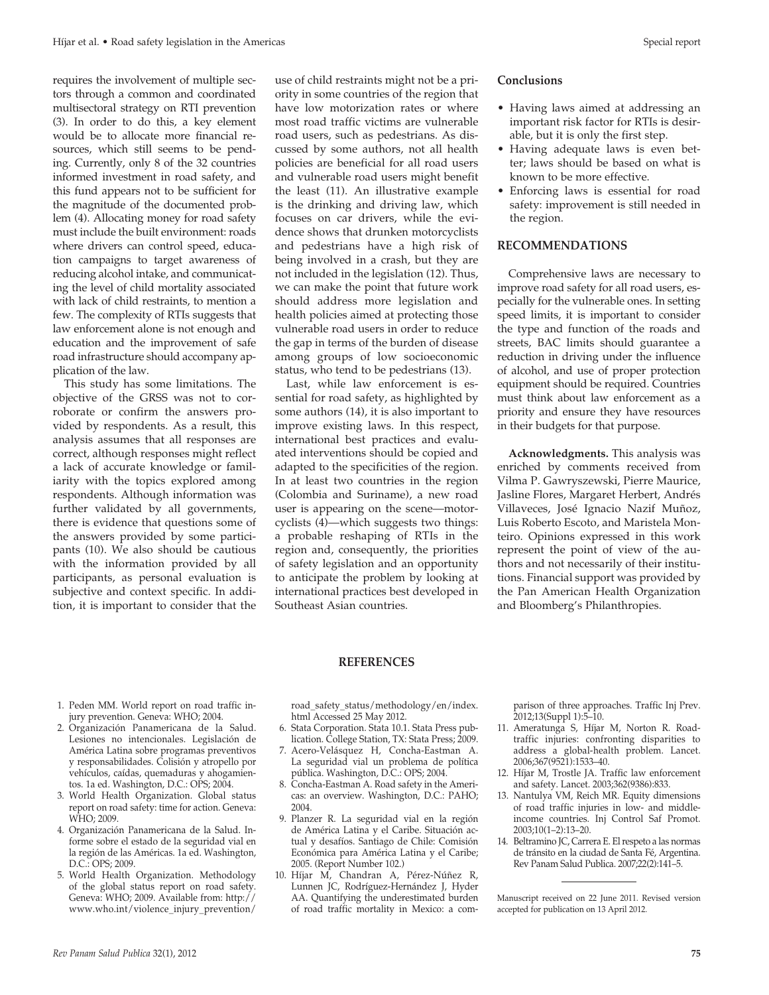requires the involvement of multiple sectors through a common and coordinated multisectoral strategy on RTI prevention (3). In order to do this, a key element would be to allocate more financial resources, which still seems to be pending. Currently, only 8 of the 32 countries informed investment in road safety, and this fund appears not to be sufficient for the magnitude of the documented problem (4). Allocating money for road safety must include the built environment: roads where drivers can control speed, education campaigns to target awareness of reducing alcohol intake, and communicating the level of child mortality associated with lack of child restraints, to mention a few. The complexity of RTIs suggests that law enforcement alone is not enough and education and the improvement of safe road infrastructure should accompany application of the law.

This study has some limitations. The objective of the GRSS was not to corroborate or confirm the answers provided by respondents. As a result, this analysis assumes that all responses are correct, although responses might reflect a lack of accurate knowledge or familiarity with the topics explored among respondents. Although information was further validated by all governments, there is evidence that questions some of the answers provided by some participants (10). We also should be cautious with the information provided by all participants, as personal evaluation is subjective and context specific. In addition, it is important to consider that the

use of child restraints might not be a priority in some countries of the region that have low motorization rates or where most road traffic victims are vulnerable road users, such as pedestrians. As discussed by some authors, not all health policies are beneficial for all road users and vulnerable road users might benefit the least (11). An illustrative example is the drinking and driving law, which focuses on car drivers, while the evidence shows that drunken motorcyclists and pedestrians have a high risk of being involved in a crash, but they are not included in the legislation (12). Thus, we can make the point that future work should address more legislation and health policies aimed at protecting those vulnerable road users in order to reduce the gap in terms of the burden of disease among groups of low socioeconomic status, who tend to be pedestrians (13).

Last, while law enforcement is essential for road safety, as highlighted by some authors (14), it is also important to improve existing laws. In this respect, international best practices and evaluated interventions should be copied and adapted to the specificities of the region. In at least two countries in the region (Colombia and Suriname), a new road user is appearing on the scene—motorcyclists (4)—which suggests two things: a probable reshaping of RTIs in the region and, consequently, the priorities of safety legislation and an opportunity to anticipate the problem by looking at international practices best developed in Southeast Asian countries.

#### **Conclusions**

- • Having laws aimed at addressing an important risk factor for RTIs is desirable, but it is only the first step.
- Having adequate laws is even better; laws should be based on what is known to be more effective.
- • Enforcing laws is essential for road safety: improvement is still needed in the region.

#### **RECOMMENDATIONS**

Comprehensive laws are necessary to improve road safety for all road users, especially for the vulnerable ones. In setting speed limits, it is important to consider the type and function of the roads and streets, BAC limits should guarantee a reduction in driving under the influence of alcohol, and use of proper protection equipment should be required. Countries must think about law enforcement as a priority and ensure they have resources in their budgets for that purpose.

**Acknowledgments.** This analysis was enriched by comments received from Vilma P. Gawryszewski, Pierre Maurice, Jasline Flores, Margaret Herbert, Andrés Villaveces, José Ignacio Nazif Muñoz, Luis Roberto Escoto, and Maristela Monteiro. Opinions expressed in this work represent the point of view of the authors and not necessarily of their institutions. Financial support was provided by the Pan American Health Organization and Bloomberg's Philanthropies.

#### **REFERENCES**

- 1. Peden MM. World report on road traffic injury prevention. Geneva: WHO; 2004.
- 2. Organización Panamericana de la Salud. Lesiones no intencionales. Legislación de América Latina sobre programas preventivos y responsabilidades. Colisión y atropello por vehículos, caídas, quemaduras y ahogamientos. 1a ed. Washington, D.C.: OPS; 2004.
- 3. World Health Organization. Global status report on road safety: time for action. Geneva: WHO; 2009.
- 4. Organización Panamericana de la Salud. Informe sobre el estado de la seguridad vial en la región de las Américas. 1a ed. Washington, D.C.: OPS; 2009.
- 5. World Health Organization. Methodology of the global status report on road safety. Geneva: WHO; 2009. Available from: http:// www.who.int/violence\_injury\_prevention/

road\_safety\_status/methodology/en/index. html Accessed 25 May 2012.

- 6. Stata Corporation. Stata 10.1. Stata Press publication. College Station, TX: Stata Press; 2009.
- 7. Acero-Velásquez H, Concha-Eastman A. La seguridad vial un problema de política pública. Washington, D.C.: OPS; 2004.
- 8. Concha-Eastman A. Road safety in the Americas: an overview. Washington, D.C.: PAHO; 2004.
- 9. Planzer R. La seguridad vial en la región de América Latina y el Caribe. Situación actual y desafíos. Santiago de Chile: Comisión Económica para América Latina y el Caribe; 2005. (Report Number 102.)
- 10. Híjar M, Chandran A, Pérez-Núñez R, Lunnen JC, Rodríguez-Hernández J, Hyder AA. Quantifying the underestimated burden of road traffic mortality in Mexico: a com-

parison of three approaches. Traffic Inj Prev. 2012;13(Suppl 1):5–10.

- 11. Ameratunga S, Híjar M, Norton R. Roadtraffic injuries: confronting disparities to address a global-health problem. Lancet. 2006;367(9521):1533–40.
- 12. Híjar M, Trostle JA. Traffic law enforcement and safety. Lancet. 2003;362(9386):833.
- 13. Nantulya VM, Reich MR. Equity dimensions of road traffic injuries in low- and middleincome countries. Inj Control Saf Promot. 2003;10(1–2):13–20.
- 14. Beltramino JC, Carrera E. El respeto a las normas de tránsito en la ciudad de Santa Fé, Argentina. Rev Panam Salud Publica. 2007;22(2):141–5.

Manuscript received on 22 June 2011. Revised version accepted for publication on 13 April 2012.